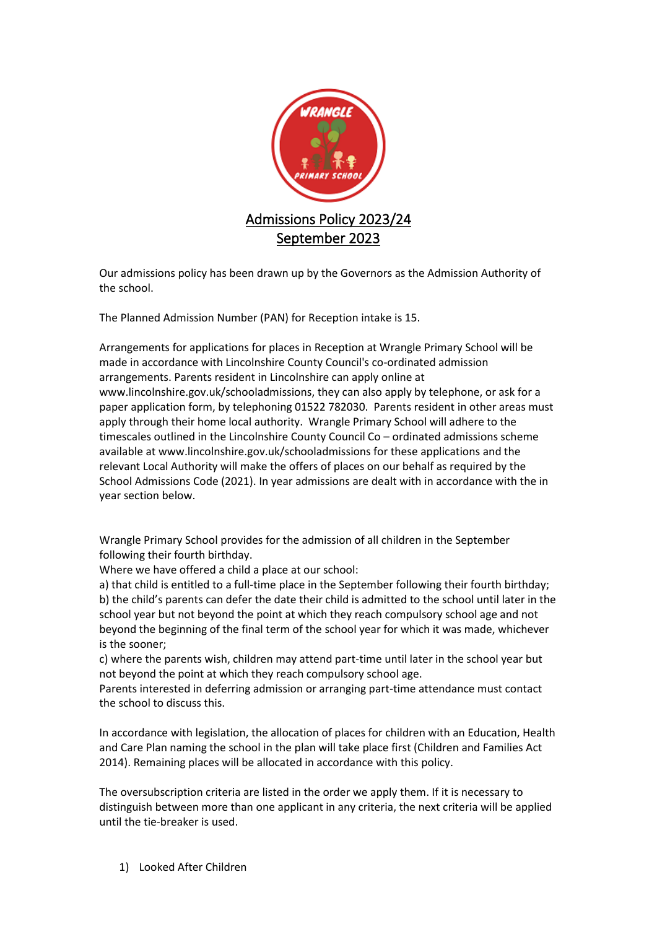

Our admissions policy has been drawn up by the Governors as the Admission Authority of the school.

The Planned Admission Number (PAN) for Reception intake is 15.

Arrangements for applications for places in Reception at Wrangle Primary School will be made in accordance with Lincolnshire County Council's co-ordinated admission arrangements. Parents resident in Lincolnshire can apply online at www.lincolnshire.gov.uk/schooladmissions, they can also apply by telephone, or ask for a paper application form, by telephoning 01522 782030. Parents resident in other areas must apply through their home local authority. Wrangle Primary School will adhere to the timescales outlined in the Lincolnshire County Council Co – ordinated admissions scheme available at www.lincolnshire.gov.uk/schooladmissions for these applications and the relevant Local Authority will make the offers of places on our behalf as required by the School Admissions Code (2021). In year admissions are dealt with in accordance with the in year section below.

Wrangle Primary School provides for the admission of all children in the September following their fourth birthday.

Where we have offered a child a place at our school:

a) that child is entitled to a full-time place in the September following their fourth birthday; b) the child's parents can defer the date their child is admitted to the school until later in the school year but not beyond the point at which they reach compulsory school age and not beyond the beginning of the final term of the school year for which it was made, whichever is the sooner;

c) where the parents wish, children may attend part-time until later in the school year but not beyond the point at which they reach compulsory school age.

Parents interested in deferring admission or arranging part-time attendance must contact the school to discuss this.

In accordance with legislation, the allocation of places for children with an Education, Health and Care Plan naming the school in the plan will take place first (Children and Families Act 2014). Remaining places will be allocated in accordance with this policy.

The oversubscription criteria are listed in the order we apply them. If it is necessary to distinguish between more than one applicant in any criteria, the next criteria will be applied until the tie-breaker is used.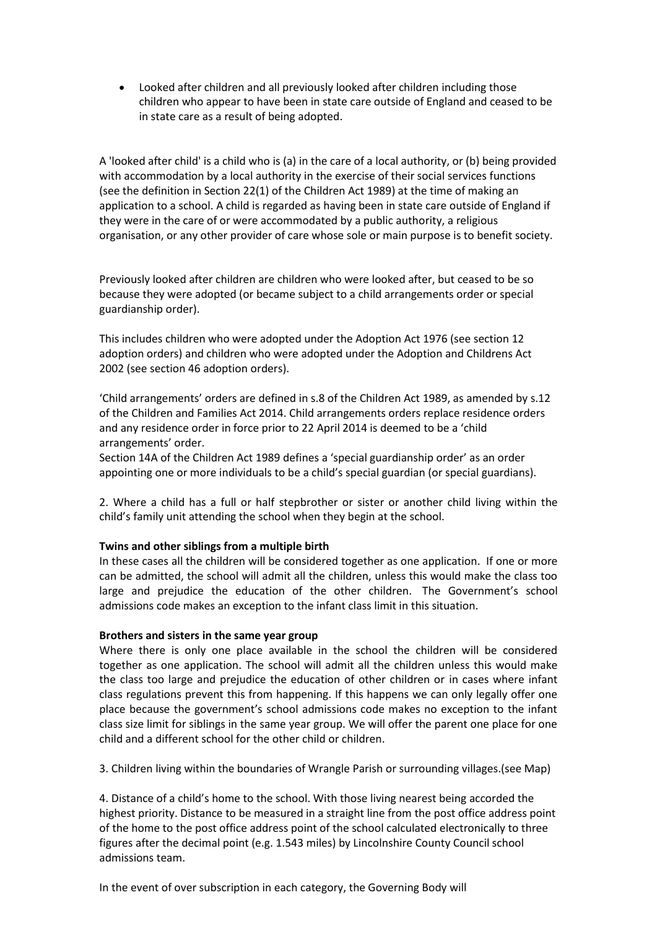• Looked after children and all previously looked after children including those children who appear to have been in state care outside of England and ceased to be in state care as a result of being adopted.

A 'looked after child' is a child who is (a) in the care of a local authority, or (b) being provided with accommodation by a local authority in the exercise of their social services functions (see the definition in Section 22(1) of the Children Act 1989) at the time of making an application to a school. A child is regarded as having been in state care outside of England if they were in the care of or were accommodated by a public authority, a religious organisation, or any other provider of care whose sole or main purpose is to benefit society.

Previously looked after children are children who were looked after, but ceased to be so because they were adopted (or became subject to a child arrangements order or special guardianship order).

This includes children who were adopted under the Adoption Act 1976 (see section 12 adoption orders) and children who were adopted under the Adoption and Childrens Act 2002 (see section 46 adoption orders).

'Child arrangements' orders are defined in s.8 of the Children Act 1989, as amended by s.12 of the Children and Families Act 2014. Child arrangements orders replace residence orders and any residence order in force prior to 22 April 2014 is deemed to be a 'child arrangements' order.

Section 14A of the Children Act 1989 defines a 'special guardianship order' as an order appointing one or more individuals to be a child's special guardian (or special guardians).

2. Where a child has a full or half stepbrother or sister or another child living within the child's family unit attending the school when they begin at the school.

# **Twins and other siblings from a multiple birth**

In these cases all the children will be considered together as one application. If one or more can be admitted, the school will admit all the children, unless this would make the class too large and prejudice the education of the other children. The Government's school admissions code makes an exception to the infant class limit in this situation.

# **Brothers and sisters in the same year group**

Where there is only one place available in the school the children will be considered together as one application. The school will admit all the children unless this would make the class too large and prejudice the education of other children or in cases where infant class regulations prevent this from happening. If this happens we can only legally offer one place because the government's school admissions code makes no exception to the infant class size limit for siblings in the same year group. We will offer the parent one place for one child and a different school for the other child or children.

3. Children living within the boundaries of Wrangle Parish or surrounding villages.(see Map)

4. Distance of a child's home to the school. With those living nearest being accorded the highest priority. Distance to be measured in a straight line from the post office address point of the home to the post office address point of the school calculated electronically to three figures after the decimal point (e.g. 1.543 miles) by Lincolnshire County Council school admissions team.

In the event of over subscription in each category, the Governing Body will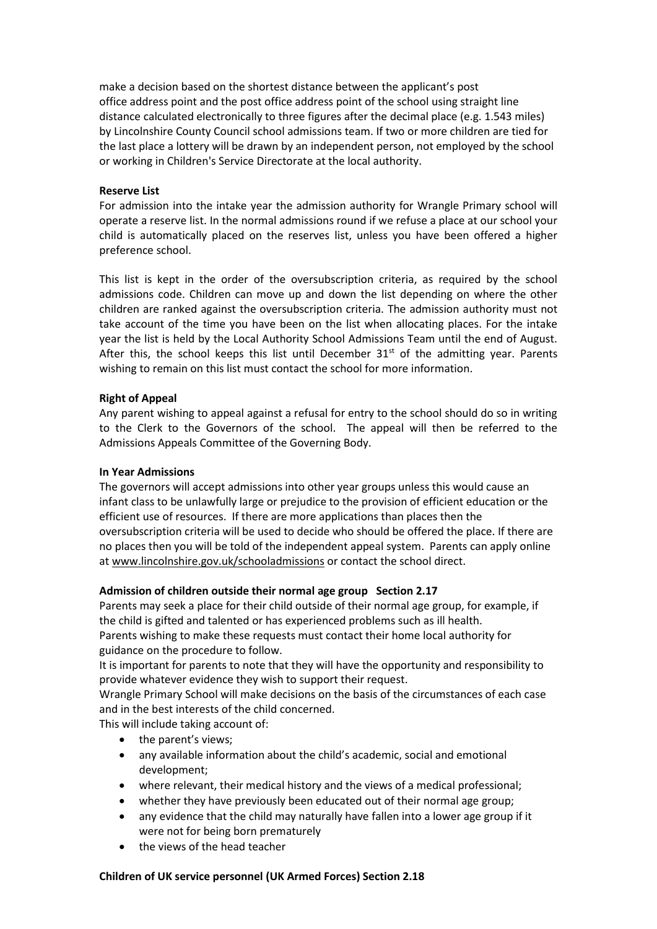make a decision based on the shortest distance between the applicant's post office address point and the post office address point of the school using straight line distance calculated electronically to three figures after the decimal place (e.g. 1.543 miles) by Lincolnshire County Council school admissions team. If two or more children are tied for the last place a lottery will be drawn by an independent person, not employed by the school or working in Children's Service Directorate at the local authority.

### **Reserve List**

For admission into the intake year the admission authority for Wrangle Primary school will operate a reserve list. In the normal admissions round if we refuse a place at our school your child is automatically placed on the reserves list, unless you have been offered a higher preference school.

This list is kept in the order of the oversubscription criteria, as required by the school admissions code. Children can move up and down the list depending on where the other children are ranked against the oversubscription criteria. The admission authority must not take account of the time you have been on the list when allocating places. For the intake year the list is held by the Local Authority School Admissions Team until the end of August. After this, the school keeps this list until December  $31<sup>st</sup>$  of the admitting year. Parents wishing to remain on this list must contact the school for more information.

### **Right of Appeal**

Any parent wishing to appeal against a refusal for entry to the school should do so in writing to the Clerk to the Governors of the school. The appeal will then be referred to the Admissions Appeals Committee of the Governing Body.

#### **In Year Admissions**

The governors will accept admissions into other year groups unless this would cause an infant class to be unlawfully large or prejudice to the provision of efficient education or the efficient use of resources. If there are more applications than places then the oversubscription criteria will be used to decide who should be offered the place. If there are no places then you will be told of the independent appeal system. Parents can apply online a[t www.lincolnshire.gov.uk/schooladmissions](http://www.lincolnshire.gov.uk/schooladmissions) or contact the school direct.

#### **Admission of children outside their normal age group Section 2.17**

Parents may seek a place for their child outside of their normal age group, for example, if the child is gifted and talented or has experienced problems such as ill health.

Parents wishing to make these requests must contact their home local authority for guidance on the procedure to follow.

It is important for parents to note that they will have the opportunity and responsibility to provide whatever evidence they wish to support their request.

Wrangle Primary School will make decisions on the basis of the circumstances of each case and in the best interests of the child concerned.

This will include taking account of:

- the parent's views;
- any available information about the child's academic, social and emotional development;
- where relevant, their medical history and the views of a medical professional;
- whether they have previously been educated out of their normal age group;
- any evidence that the child may naturally have fallen into a lower age group if it were not for being born prematurely
- the views of the head teacher

#### **Children of UK service personnel (UK Armed Forces) Section 2.18**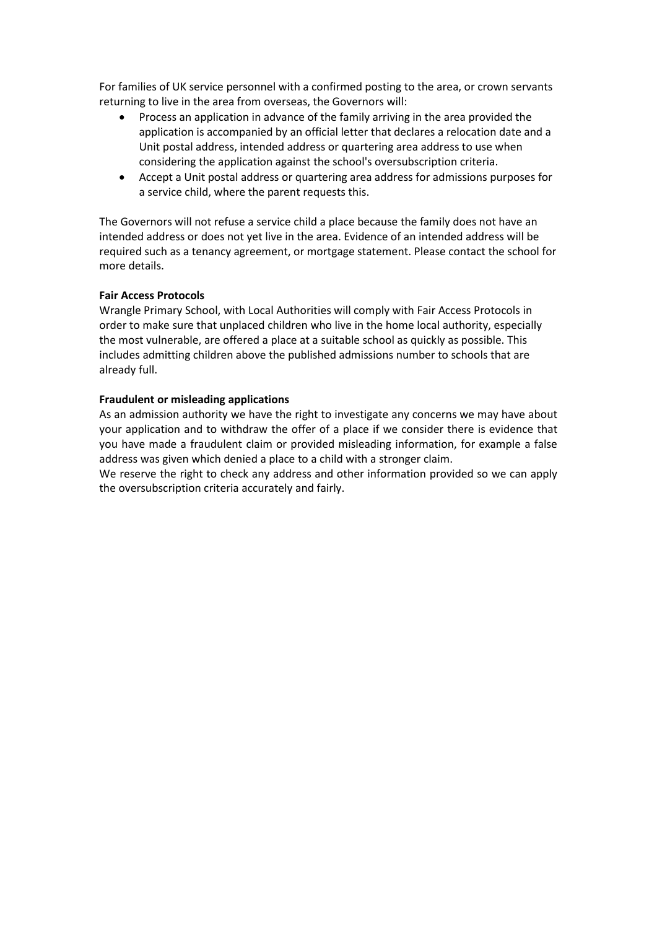For families of UK service personnel with a confirmed posting to the area, or crown servants returning to live in the area from overseas, the Governors will:

- Process an application in advance of the family arriving in the area provided the application is accompanied by an official letter that declares a relocation date and a Unit postal address, intended address or quartering area address to use when considering the application against the school's oversubscription criteria.
- Accept a Unit postal address or quartering area address for admissions purposes for a service child, where the parent requests this.

The Governors will not refuse a service child a place because the family does not have an intended address or does not yet live in the area. Evidence of an intended address will be required such as a tenancy agreement, or mortgage statement. Please contact the school for more details.

## **Fair Access Protocols**

Wrangle Primary School, with Local Authorities will comply with Fair Access Protocols in order to make sure that unplaced children who live in the home local authority, especially the most vulnerable, are offered a place at a suitable school as quickly as possible. This includes admitting children above the published admissions number to schools that are already full.

### **Fraudulent or misleading applications**

As an admission authority we have the right to investigate any concerns we may have about your application and to withdraw the offer of a place if we consider there is evidence that you have made a fraudulent claim or provided misleading information, for example a false address was given which denied a place to a child with a stronger claim.

We reserve the right to check any address and other information provided so we can apply the oversubscription criteria accurately and fairly.